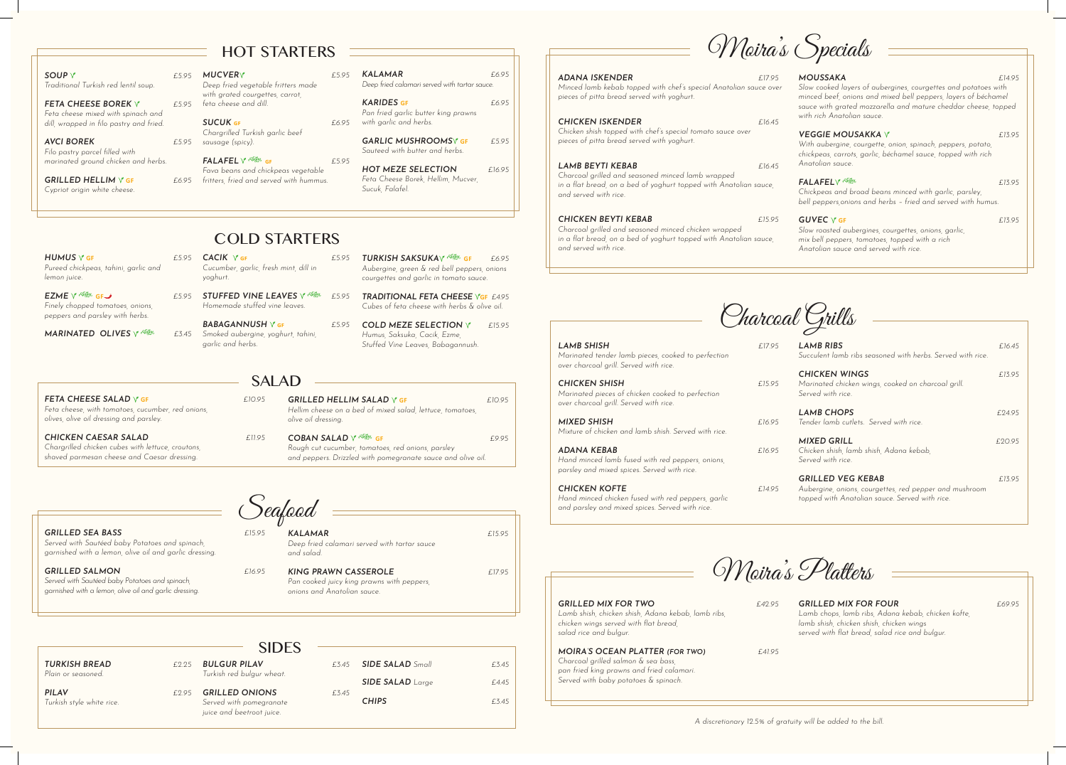$HUMUS$   $Y$  GF  $F5.9$ *Pureed chickpeas, tahini, garlic and lemon juice.*

**EZME**  $\sqrt{2}$  <sup>266</sup><sup>56</sup>5 GF *Finely chopped tomatoes, onions, peppers and parsley with herbs.* 

*MARINATED OLIVES Y <sup>266</sup><sup>36</sup>* 

# COLD STARTERS

| 5 $CACIK$ $\sqrt{5}$ GF            | E5.95 TURKISH SAKSUKAY REGIST             | £695 |
|------------------------------------|-------------------------------------------|------|
| Cucumber garlic fresh mint dill in | Aubergine green & red bell peppers onions |      |
| yoghurt.                           | courgettes and garlic in tomato sauce.    |      |

*£5.95 STUFFED VINE LEAVES γ<sup>266</sup><sub>55</sub> <i>£5.95 Homemade stuffed vine leaves.* **TRADITIONAL FETA CHEESE VGF £4.95** 

**BABAGANNUSH**  $\sqrt{5}$  **GF** *Smoked aubergine, yoghurt, tahini, garlic and herbs. COLD MEZE SELECTION £15.95*

### SALAD

*Cubes of feta cheese with herbs & olive oil.*

*Humus, Saksuka, Cacik, Ezme, Stuffed Vine Leaves, Babagannush.* 

*Feta cheese, with tomatoes, cucumber, red onions,* 

#### SOUP  $\sqrt{2}$ *Traditional Turkish red lentil soup.*

*olives, olive oil dressing and parsley.*

**FETA CHEESE BOREK Y** *Feta cheese mixed with spinach and dill, wrapped in filo pastry and fried.* 

**AVCI BOREK** *Filo pastry parcel filled with marinated ground chicken and herbs.*

**GRILLED HELLIM Y GF** *Cypriot origin white cheese.*

*Chargrilled chicken cubes with lettuce, croutons, shaved parmesan cheese and Caesar dressing.*

*GRILLED SALMON* 

#### *sausage (spicy).*  $\sqrt{860}$  $\overline{GF}$  **<b>***£5.95*

| 95 | <b>GRILLED HELLIM SALAD V GF</b><br>Hellim cheese on a bed of mixed salad, lettuce, tomatoes,<br>olive oil dressing. | £10.95 |
|----|----------------------------------------------------------------------------------------------------------------------|--------|
| 95 | <b>COBAN SALAD</b> V <sup> REGIN</sup> GF<br>Rough cut cucumber, tomatoes, red onions, parsley                       | £995   |
|    | and peppers. Drizzled with pomegranate sauce and olive oil.                                                          |        |

**GARLIC MUSHROOMS**<sup>*N*</sup> **GF**  $£5.95$ *Sauteed with butter and herbs.*

|                                            |      | <b>SIDES</b>                                                                  |       |                         |       |
|--------------------------------------------|------|-------------------------------------------------------------------------------|-------|-------------------------|-------|
| <b>TURKISH BREAD</b><br>Plain or seasoned. | £225 | <b>BULGUR PILAV</b><br>Turkish red bulgur wheat.                              | f.345 | <b>SIDE SALAD</b> Small | £3.45 |
|                                            |      |                                                                               |       | <b>SIDE SALAD</b> Large | £4.45 |
| <b>PILAV</b><br>Turkish style white rice.  | £295 | <b>GRILLED ONIONS</b><br>Served with pomegranate<br>juice and beetroot juice. | £3.45 | <b>CHIPS</b>            | £3.45 |

## HOT STARTERS

*MUCVER £5.95 Deep fried vegetable fritters made with grated courgettes, carrot,* 

*feta cheese and dill.*

*SUCUK* **gf** *£6.95 Chargrilled Turkish garlic beef* 

**ADANA ISKENDER** *Minced lamb kebab topped with chef's special Anatolian sauce over pieces of pitta bread served with yoghurt.*

*Fava beans and chickpeas vegetable fritters, fried and served with hummus.* 

### *KALAMAR £6.95 Deep fried calamari served with tartar sauce.*

*KARIDES* **GF** *£6.95 Pan fried garlic butter king prawns with garlic and herbs.*

*HOT MEZE SELECTION £16.95 Feta Cheese Borek, Hellim, Mucver, Sucuk, Falafel.*

Seafood

*GRILLED SEA BASS £15.95 Served with Sautéed baby Potatoes and spinach, garnished with a lemon, olive oil and garlic dressing.*

*FETA CHEESE SALAD*  $\vee$  *GF £10.95* 

**CHICKEN CAESAR SALAD** *EII.* 

*Served with Sautéed baby Potatoes and spinach, garnished with a lemon, olive oil and garlic dressing.* *KALAMAR £15.95*

*Deep fried calamari served with tartar sauce* 

*and salad.* 

| £16.95 | <b>KING PRAWN CASSEROLE</b><br>Pan cooked juicy king prawns with peppers.<br>onions and Anatolian sauce. | 7 95 |
|--------|----------------------------------------------------------------------------------------------------------|------|
|        |                                                                                                          |      |
|        |                                                                                                          |      |

Charcoal Grills

*LAMB SHISH £17.95 Marinated tender lamb pieces, cooked to perfection over charcoal grill. Served with rice.*

*CHICKEN SHISH £15.95 Marinated pieces of chicken cooked to perfection over charcoal grill. Served with rice.*

*MIXED SHISH £16.95 Mixture of chicken and lamb shish. Served with rice.*

*ADANA KEBAB £16.95 Hand minced lamb fused with red peppers, onions, parsley and mixed spices. Served with rice.* 

*CHICKEN KOFTE £14.95 Hand minced chicken fused with red peppers, garlic and parsley and mixed spices. Served with rice.* 

| <b>LAMB RIBS</b><br>Succulent lamb ribs seasoned with herbs. Served with rice.                                                       | f.1645 |
|--------------------------------------------------------------------------------------------------------------------------------------|--------|
| <b>CHICKEN WINGS</b><br>Marinated chicken wings, cooked on charcoal grill.<br>Served with rice.                                      | £1395  |
| <b>LAMB CHOPS</b><br>Tender lamb cutlets. Served with rice.                                                                          | £24.95 |
| <b>MIXED GRILL</b><br>Chicken shish, lamb shish, Adana kebab,<br>Served with rice.                                                   | £2095  |
| <b>GRILLED VEG KEBAB</b><br>Aubergine, onions, courgettes, red pepper and mushroom<br>topped with Anatolian sauce. Served with rice. | £1395  |

Moira's Specials

*CHICKEN ISKENDER £16.45 Chicken shish topped with chef's special tomato sauce over pieces of pitta bread served with yoghurt.*

*LAMB BEYTI KEBAB £16.45 Charcoal grilled and seasoned minced lamb wrapped*  in a flat bread, on a bed of yoghurt topped with Anatolian sauce, *and served with rice.*

*CHICKEN BEYTI KEBAB £15.95 Charcoal grilled and seasoned minced chicken wrapped in a flat bread, on a bed of yoghurt topped with Anatolian sauce, and served with rice.*



#### *MOUSSAKA £14.95*

*Slow cooked layers of aubergines, courgettes and potatoes with minced beef, onions and mixed bell peppers, layers of béchamel sauce with grated mozzarella and mature cheddar cheese, topped with rich Anatolian sauce.*

#### **VEGGIE MOUSAKKA Y** 213.95

*With aubergine, courgette, onion, spinach, peppers, potato, chickpeas, carrots, garlic, béchamel sauce, topped with rich Anatolian sauce.*

#### *FALAFEL*  $\sqrt{600}$  *£13.95*

*Chickpeas and broad beans minced with garlic, parsley, bell peppers,onions and herbs – fried and served with humus.*

#### **GUVEC**  $\sqrt{6}$ **GF** *£13.95*

*Slow roasted aubergines, courgettes, onions, garlic, mix bell peppers, tomatoes, topped with a rich Anatolian sauce and served with rice.*

Moira's Platters

*GRILLED MIX FOR FOUR £69.95 Lamb chops, lamb ribs, Adana kebab, chicken kofte, lamb shish, chicken shish, chicken wings served with flat bread, salad rice and bulgur.*

*GRILLED MIX FOR TWO £42.95 Lamb shish, chicken shish, Adana kebab, lamb ribs, chicken wings served with flat bread, salad rice and bulgur.*

*MOIRA'S OCEAN PLATTER (FOR TWO) £41.95 Charcoal grilled salmon & sea bass, pan fried king prawns and fried calamari. Served with baby potatoes & spinach.*

*A discretionary 12.5% of gratuity will be added to the bill.*